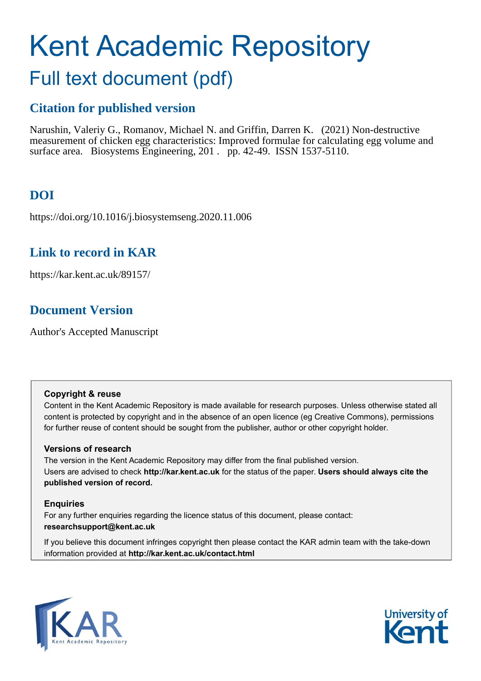# Kent Academic Repository Full text document (pdf)

## **Citation for published version**

Narushin, Valeriy G., Romanov, Michael N. and Griffin, Darren K. (2021) Non-destructive measurement of chicken egg characteristics: Improved formulae for calculating egg volume and surface area. Biosystems Engineering, 201. pp. 42-49. ISSN 1537-5110.

## **DOI**

https://doi.org/10.1016/j.biosystemseng.2020.11.006

## **Link to record in KAR**

https://kar.kent.ac.uk/89157/

## **Document Version**

Author's Accepted Manuscript

#### **Copyright & reuse**

Content in the Kent Academic Repository is made available for research purposes. Unless otherwise stated all content is protected by copyright and in the absence of an open licence (eg Creative Commons), permissions for further reuse of content should be sought from the publisher, author or other copyright holder.

#### **Versions of research**

The version in the Kent Academic Repository may differ from the final published version. Users are advised to check **http://kar.kent.ac.uk** for the status of the paper. **Users should always cite the published version of record.**

#### **Enquiries**

For any further enquiries regarding the licence status of this document, please contact: **researchsupport@kent.ac.uk**

If you believe this document infringes copyright then please contact the KAR admin team with the take-down information provided at **http://kar.kent.ac.uk/contact.html**



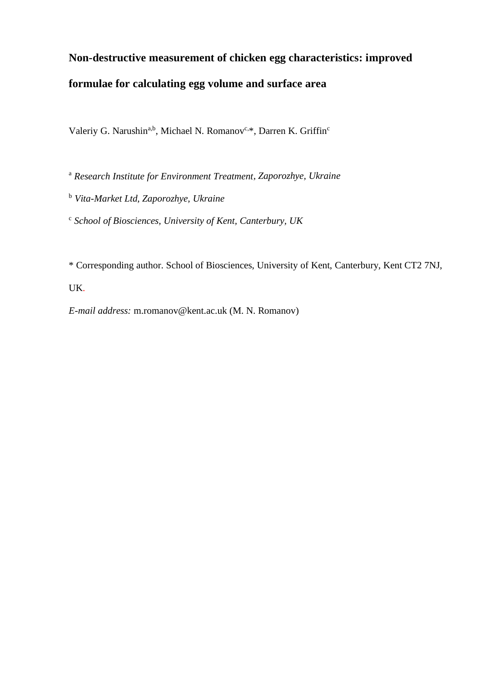## **Non-destructive measurement of chicken egg characteristics: improved formulae for calculating egg volume and surface area**

Valeriy G. Narushin<sup>a,b</sup>, Michael N. Romanov<sup>c,\*</sup>, Darren K. Griffin<sup>c</sup>

<sup>a</sup> *Research Institute for Environment Treatment, Zaporozhye, Ukraine*

<sup>b</sup> *Vita-Market Ltd, Zaporozhye, Ukraine*

c *School of Biosciences, University of Kent, Canterbury, UK*

\* Corresponding author. School of Biosciences, University of Kent, Canterbury, Kent CT2 7NJ,

UK.

*E-mail address:* m.romanov@kent.ac.uk (M. N. Romanov)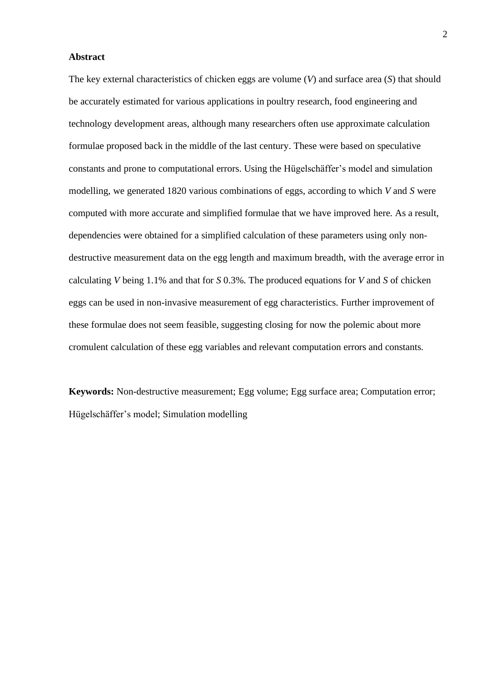#### **Abstract**

The key external characteristics of chicken eggs are volume (*V*) and surface area (*S*) that should be accurately estimated for various applications in poultry research, food engineering and technology development areas, although many researchers often use approximate calculation formulae proposed back in the middle of the last century. These were based on speculative constants and prone to computational errors. Using the Hügelschäffer's model and simulation modelling, we generated 1820 various combinations of eggs, according to which *V* and *S* were computed with more accurate and simplified formulae that we have improved here. As a result, dependencies were obtained for a simplified calculation of these parameters using only nondestructive measurement data on the egg length and maximum breadth, with the average error in calculating *V* being 1.1% and that for *S* 0.3%. The produced equations for *V* and *S* of chicken eggs can be used in non-invasive measurement of egg characteristics. Further improvement of these formulae does not seem feasible, suggesting closing for now the polemic about more cromulent calculation of these egg variables and relevant computation errors and constants.

**Keywords:** Non-destructive measurement; Egg volume; Egg surface area; Computation error; Hügelschäffer's model; Simulation modelling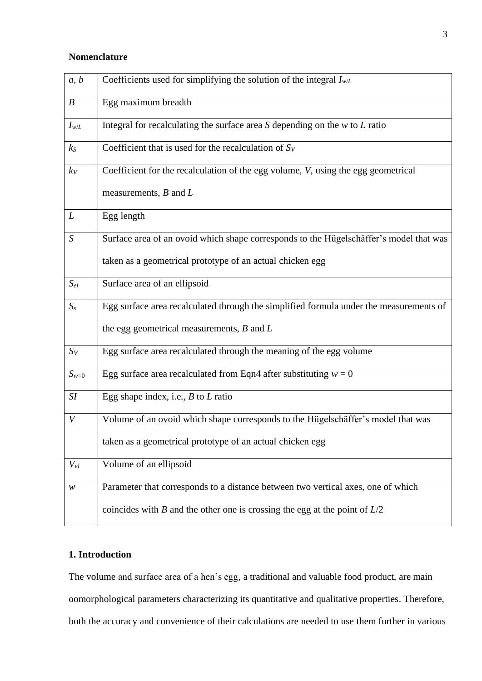#### **Nomenclature**

| a, b             | Coefficients used for simplifying the solution of the integral $I_{w/L}$               |
|------------------|----------------------------------------------------------------------------------------|
| $\boldsymbol{B}$ | Egg maximum breadth                                                                    |
| $I_{w/L}$        | Integral for recalculating the surface area $S$ depending on the $w$ to $L$ ratio      |
| $k_{S}$          | Coefficient that is used for the recalculation of $S_V$                                |
| $k_V$            | Coefficient for the recalculation of the egg volume, V, using the egg geometrical      |
|                  | measurements, $B$ and $L$                                                              |
| L                | Egg length                                                                             |
| S                | Surface area of an ovoid which shape corresponds to the Hügelschäffer's model that was |
|                  | taken as a geometrical prototype of an actual chicken egg                              |
| $S_{el}$         | Surface area of an ellipsoid                                                           |
| $S_{s}$          | Egg surface area recalculated through the simplified formula under the measurements of |
|                  | the egg geometrical measurements, $B$ and $L$                                          |
| $S_V$            | Egg surface area recalculated through the meaning of the egg volume                    |
| $S_{w=0}$        | Egg surface area recalculated from Eqn4 after substituting $w = 0$                     |
| SI               | Egg shape index, i.e., $B$ to $L$ ratio                                                |
| V                | Volume of an ovoid which shape corresponds to the Hügelschäffer's model that was       |
|                  | taken as a geometrical prototype of an actual chicken egg                              |
| $V_{el}$         | Volume of an ellipsoid                                                                 |
| ${\mathcal W}$   | Parameter that corresponds to a distance between two vertical axes, one of which       |
|                  | coincides with B and the other one is crossing the egg at the point of $L/2$           |

### **1. Introduction**

The volume and surface area of a hen's egg, a traditional and valuable food product, are main oomorphological parameters characterizing its quantitative and qualitative properties. Therefore, both the accuracy and convenience of their calculations are needed to use them further in various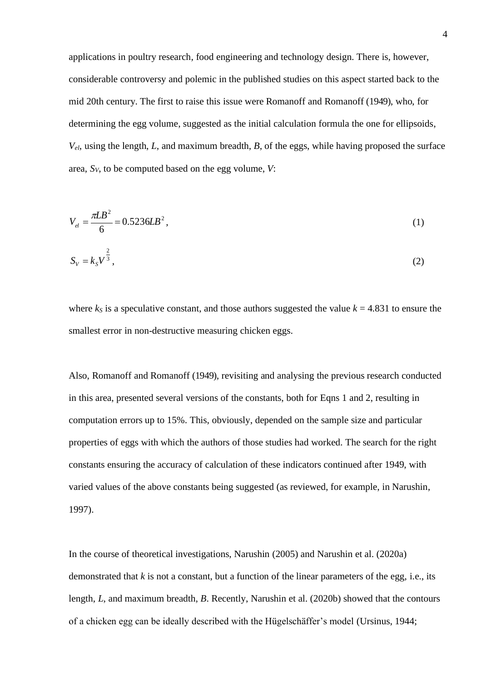applications in poultry research, food engineering and technology design. There is, however, considerable controversy and polemic in the published studies on this aspect started back to the mid 20th century. The first to raise this issue were Romanoff and Romanoff (1949), who, for determining the egg volume, suggested as the initial calculation formula the one for ellipsoids,  $V_{el}$ , using the length, *L*, and maximum breadth, *B*, of the eggs, while having proposed the surface area, *SV*, to be computed based on the egg volume, *V*:

$$
V_{el} = \frac{\pi L B^2}{6} = 0.5236 L B^2, \tag{1}
$$

$$
S_V = k_S V^{\frac{2}{3}},\tag{2}
$$

where  $k<sub>S</sub>$  is a speculative constant, and those authors suggested the value  $k = 4.831$  to ensure the smallest error in non-destructive measuring chicken eggs.

Also, Romanoff and Romanoff (1949), revisiting and analysing the previous research conducted in this area, presented several versions of the constants, both for Eqns 1 and 2, resulting in computation errors up to 15%. This, obviously, depended on the sample size and particular properties of eggs with which the authors of those studies had worked. The search for the right constants ensuring the accuracy of calculation of these indicators continued after 1949, with varied values of the above constants being suggested (as reviewed, for example, in Narushin, 1997).

In the course of theoretical investigations, Narushin (2005) and Narushin et al. (2020a) demonstrated that *k* is not a constant, but a function of the linear parameters of the egg, i.e., its length, *L*, and maximum breadth, *B*. Recently, Narushin et al. (2020b) showed that the contours of a chicken egg can be ideally described with the Hügelschäffer's model (Ursinus, 1944;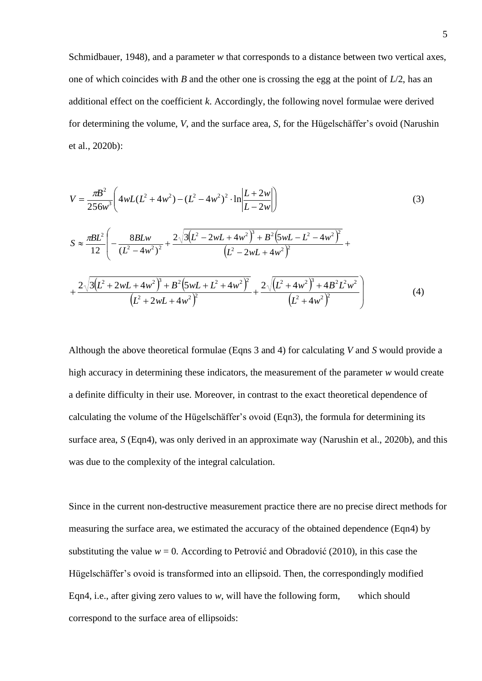Schmidbauer, 1948), and a parameter *w* that corresponds to a distance between two vertical axes, one of which coincides with *B* and the other one is crossing the egg at the point of *L*/2, has an additional effect on the coefficient *k*. Accordingly, the following novel formulae were derived for determining the volume, *V*, and the surface area, *S*, for the Hügelschäffer's ovoid (Narushin et al., 2020b):

$$
V = \frac{\pi B^2}{256w^3} \left( 4wL(L^2 + 4w^2) - (L^2 - 4w^2)^2 \cdot \ln \left| \frac{L + 2w}{L - 2w} \right| \right)
$$
  
\n
$$
S \approx \frac{\pi BL^2}{12} \left( -\frac{8BLw}{(L^2 - 4w^2)^2} + \frac{2\sqrt{3(L^2 - 2wL + 4w^2)^3 + B^2(5wL - L^2 - 4w^2)^2}}{(L^2 - 2wL + 4w^2)^2} + \frac{2\sqrt{3(L^2 + 2wL + 4w^2)^3 + B^2(5wL + L^2 + 4w^2)^2}}{(L^2 + 2wL + 4w^2)^2} + \frac{2\sqrt{(L^2 + 4w^2)^3 + 4B^2L^2w^2}}{(L^2 + 4w^2)^2} \right)
$$
(4)

Although the above theoretical formulae (Eqns 3 and 4) for calculating *V* and *S* would provide a high accuracy in determining these indicators, the measurement of the parameter *w* would create a definite difficulty in their use. Moreover, in contrast to the exact theoretical dependence of calculating the volume of the Hügelschäffer's ovoid (Eqn3), the formula for determining its surface area, *S* (Eqn4), was only derived in an approximate way (Narushin et al., 2020b), and this was due to the complexity of the integral calculation.

Since in the current non-destructive measurement practice there are no precise direct methods for measuring the surface area, we estimated the accuracy of the obtained dependence (Eqn4) by substituting the value  $w = 0$ . According to Petrović and Obradović (2010), in this case the Hügelschäffer's ovoid is transformed into an ellipsoid. Then, the correspondingly modified Eqn4, i.e., after giving zero values to *w*, will have the following form, which should correspond to the surface area of ellipsoids: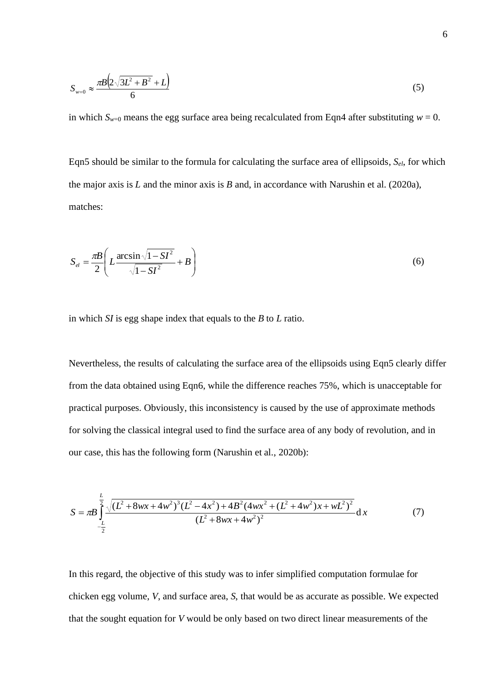$$
S_{w=0} \approx \frac{\pi B \left(2\sqrt{3L^2 + B^2} + L\right)}{6} \tag{5}
$$

in which  $S_{w=0}$  means the egg surface area being recalculated from Eqn4 after substituting  $w = 0$ .

Eqn5 should be similar to the formula for calculating the surface area of ellipsoids, *Sel*, for which the major axis is *L* and the minor axis is *B* and, in accordance with Narushin et al. (2020a), matches:

$$
S_{el} = \frac{\pi B}{2} \left( L \frac{\arcsin \sqrt{1 - SI^2}}{\sqrt{1 - SI^2}} + B \right)
$$
 (6)

in which *SI* is egg shape index that equals to the *B* to *L* ratio.

Nevertheless, the results of calculating the surface area of the ellipsoids using Eqn5 clearly differ from the data obtained using Eqn6, while the difference reaches 75%, which is unacceptable for practical purposes. Obviously, this inconsistency is caused by the use of approximate methods for solving the classical integral used to find the surface area of any body of revolution, and in our case, this has the following form (Narushin et al., 2020b):

$$
S = \pi B \int_{-\frac{L}{2}}^{\frac{L}{2}} \frac{\sqrt{(L^2 + 8wx + 4w^2)^3 (L^2 - 4x^2) + 4B^2 (4wx^2 + (L^2 + 4w^2)x + wL^2)^2}}{(L^2 + 8wx + 4w^2)^2} dx
$$
 (7)

In this regard, the objective of this study was to infer simplified computation formulae for chicken egg volume, *V*, and surface area, *S*, that would be as accurate as possible. We expected that the sought equation for *V* would be only based on two direct linear measurements of the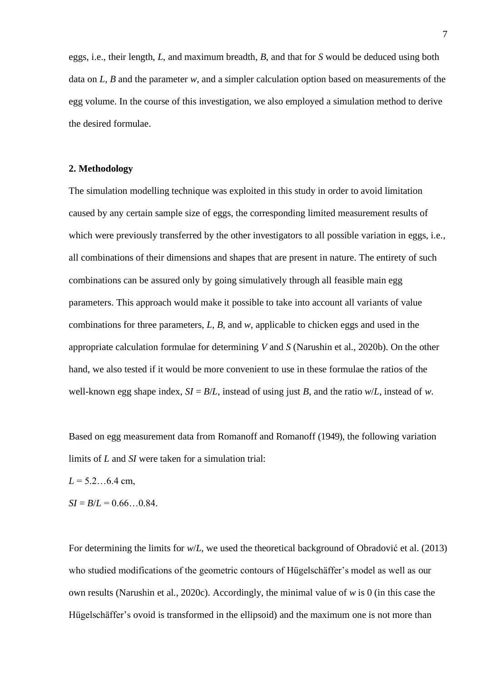eggs, i.e., their length, *L*, and maximum breadth, *B*, and that for *S* would be deduced using both data on *L*, *B* and the parameter *w*, and a simpler calculation option based on measurements of the egg volume. In the course of this investigation, we also employed a simulation method to derive the desired formulae.

#### **2. Methodology**

The simulation modelling technique was exploited in this study in order to avoid limitation caused by any certain sample size of eggs, the corresponding limited measurement results of which were previously transferred by the other investigators to all possible variation in eggs, *i.e.*, all combinations of their dimensions and shapes that are present in nature. The entirety of such combinations can be assured only by going simulatively through all feasible main egg parameters. This approach would make it possible to take into account all variants of value combinations for three parameters, *L*, *B*, and *w*, applicable to chicken eggs and used in the appropriate calculation formulae for determining *V* and *S* (Narushin et al., 2020b). On the other hand, we also tested if it would be more convenient to use in these formulae the ratios of the well-known egg shape index,  $SI = B/L$ , instead of using just *B*, and the ratio  $w/L$ , instead of *w*.

Based on egg measurement data from Romanoff and Romanoff (1949), the following variation limits of *L* and *SI* were taken for a simulation trial:

*L* = 5.2…6.4 cm,

 $SI = B/L = 0.66...0.84$ .

For determining the limits for *w*/*L*, we used the theoretical background of Obradović et al. (2013) who studied modifications of the geometric contours of Hügelschäffer's model as well as our own results (Narushin et al., 2020c). Accordingly, the minimal value of *w* is 0 (in this case the Hügelschäffer's ovoid is transformed in the ellipsoid) and the maximum one is not more than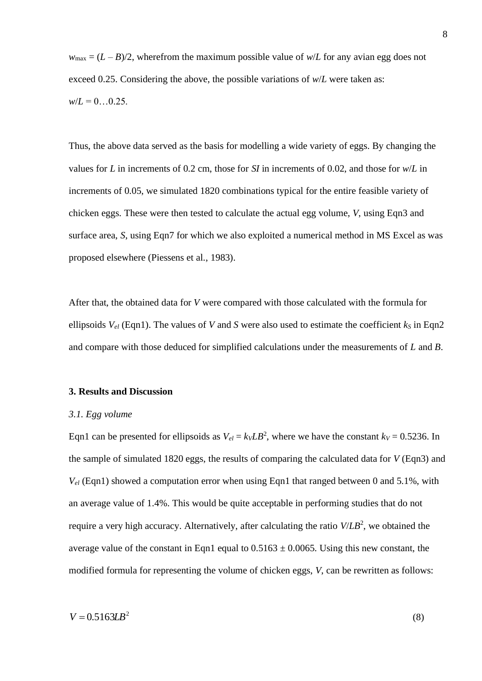$w_{\text{max}} = (L - B)/2$ , wherefrom the maximum possible value of  $w/L$  for any avian egg does not exceed 0.25. Considering the above, the possible variations of  $w/L$  were taken as:  $w/L = 0...0.25$ .

Thus, the above data served as the basis for modelling a wide variety of eggs. By changing the values for *L* in increments of 0.2 cm, those for *SI* in increments of 0.02, and those for *w*/*L* in increments of 0.05, we simulated 1820 combinations typical for the entire feasible variety of chicken eggs. These were then tested to calculate the actual egg volume, *V*, using Eqn3 and surface area, *S*, using Eqn7 for which we also exploited a numerical method in MS Excel as was proposed elsewhere (Piessens et al., 1983).

After that, the obtained data for *V* were compared with those calculated with the formula for ellipsoids  $V_{el}$  (Eqn1). The values of *V* and *S* were also used to estimate the coefficient  $k_s$  in Eqn2 and compare with those deduced for simplified calculations under the measurements of *L* and *B*.

#### **3. Results and Discussion**

#### *3.1. Egg volume*

Eqn1 can be presented for ellipsoids as  $V_{el} = k_V L B^2$ , where we have the constant  $k_V = 0.5236$ . In the sample of simulated 1820 eggs, the results of comparing the calculated data for *V* (Eqn3) and *Vel* (Eqn1) showed a computation error when using Eqn1 that ranged between 0 and 5.1%, with an average value of 1.4%. This would be quite acceptable in performing studies that do not require a very high accuracy. Alternatively, after calculating the ratio *V*/*LB*<sup>2</sup> , we obtained the average value of the constant in Eqn1 equal to  $0.5163 \pm 0.0065$ . Using this new constant, the modified formula for representing the volume of chicken eggs, *V*, can be rewritten as follows: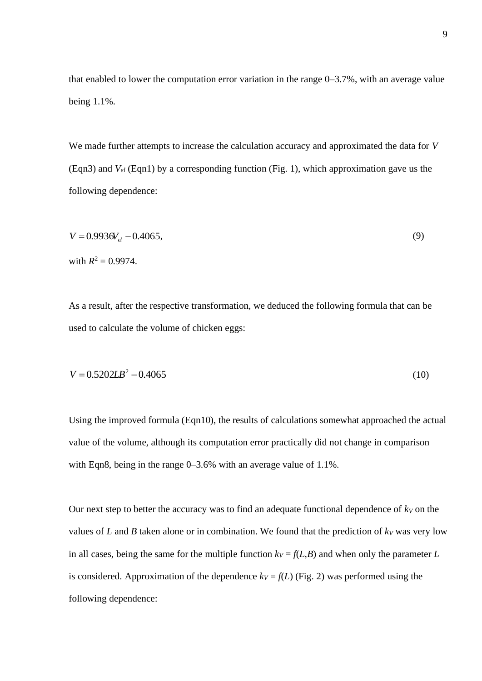that enabled to lower the computation error variation in the range 0–3.7%, with an average value being 1.1%.

We made further attempts to increase the calculation accuracy and approximated the data for *V* (Eqn3) and *Vel* (Eqn1) by a corresponding function (Fig. 1), which approximation gave us the following dependence:

$$
V = 0.9936V_{el} - 0.4065,
$$
  
with  $R^2 = 0.9974$ . (9)

As a result, after the respective transformation, we deduced the following formula that can be used to calculate the volume of chicken eggs:

$$
V = 0.5202LB^2 - 0.4065\tag{10}
$$

Using the improved formula (Eqn10), the results of calculations somewhat approached the actual value of the volume, although its computation error practically did not change in comparison with Eqn8, being in the range 0–3.6% with an average value of 1.1%.

Our next step to better the accuracy was to find an adequate functional dependence of  $k_V$  on the values of  $L$  and  $B$  taken alone or in combination. We found that the prediction of  $k_V$  was very low in all cases, being the same for the multiple function  $k_V = f(L,B)$  and when only the parameter *L* is considered. Approximation of the dependence  $k_V = f(L)$  (Fig. 2) was performed using the following dependence: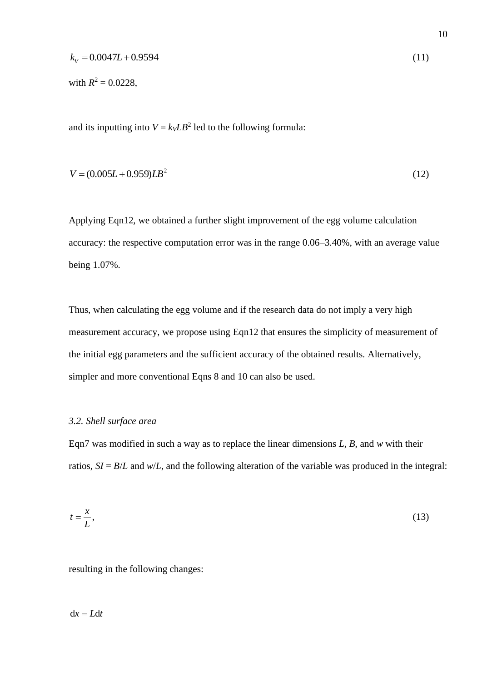$$
k_V = 0.0047L + 0.9594\tag{11}
$$

with  $R^2 = 0.0228$ ,

and its inputting into  $V = k_V L B^2$  led to the following formula:

$$
V = (0.005L + 0.959)LB2
$$
 (12)

Applying Eqn12, we obtained a further slight improvement of the egg volume calculation accuracy: the respective computation error was in the range 0.06–3.40%, with an average value being 1.07%.

Thus, when calculating the egg volume and if the research data do not imply a very high measurement accuracy, we propose using Eqn12 that ensures the simplicity of measurement of the initial egg parameters and the sufficient accuracy of the obtained results. Alternatively, simpler and more conventional Eqns 8 and 10 can also be used.

#### *3.2. Shell surface area*

Eqn7 was modified in such a way as to replace the linear dimensions *L*, *B*, and *w* with their ratios,  $SI = B/L$  and  $w/L$ , and the following alteration of the variable was produced in the integral:

$$
t = \frac{x}{L},\tag{13}
$$

resulting in the following changes:

 $dx = Ldt$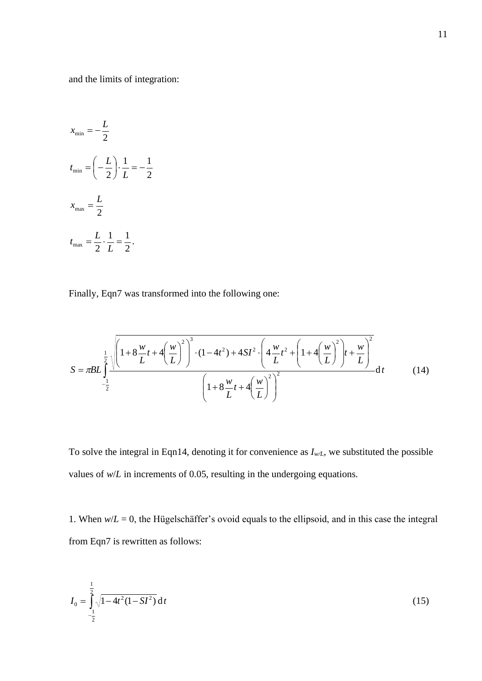and the limits of integration:

$$
x_{\min} = -\frac{L}{2}
$$
  
\n
$$
t_{\min} = \left(-\frac{L}{2}\right) \cdot \frac{1}{L} = -\frac{1}{2}
$$
  
\n
$$
x_{\max} = \frac{L}{2}
$$
  
\n
$$
t_{\max} = \frac{L}{2} \cdot \frac{1}{L} = \frac{1}{2}.
$$

Finally, Eqn7 was transformed into the following one:

$$
S = \pi BL \int_{-\frac{1}{2}}^{\frac{1}{2}} \frac{\sqrt{\left(1+8\frac{w}{L}t+4\left(\frac{w}{L}\right)^2\right)^3 \cdot (1-4t^2)+4SI^2 \cdot \left(4\frac{w}{L}t^2+\left(1+4\left(\frac{w}{L}\right)^2\right)t+\frac{w}{L}\right)^2}}{\left(1+8\frac{w}{L}t+4\left(\frac{w}{L}\right)^2\right)^2} \text{d}t \tag{14}
$$

To solve the integral in Eqn14, denoting it for convenience as  $I_{w/L}$ , we substituted the possible values of  $w/L$  in increments of 0.05, resulting in the undergoing equations.

1. When  $w/L = 0$ , the Hügelschäffer's ovoid equals to the ellipsoid, and in this case the integral from Eqn7 is rewritten as follows:

$$
I_0 = \int_{-\frac{1}{2}}^{\frac{1}{2}} \sqrt{1 - 4t^2 (1 - \mathbf{S}I^2)} \, \mathrm{d}t \tag{15}
$$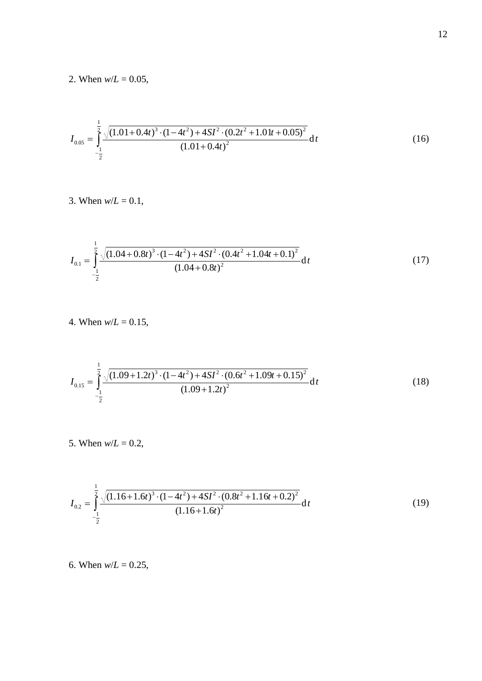2. When  $w/L = 0.05$ ,

$$
I_{0.05} = \int_{-\frac{1}{2}}^{\frac{1}{2}} \frac{\sqrt{(1.01 + 0.4t)^3 \cdot (1 - 4t^2) + 4SI^2 \cdot (0.2t^2 + 1.01t + 0.05)^2}}{(1.01 + 0.4t)^2} dt
$$
 (16)

3. When  $w/L = 0.1$ ,

$$
I_{0.1} = \int_{-\frac{1}{2}}^{\frac{1}{2}} \frac{\sqrt{(1.04 + 0.8t)^3 \cdot (1 - 4t^2) + 4SI^2 \cdot (0.4t^2 + 1.04t + 0.1)^2}}{(1.04 + 0.8t)^2} dt
$$
 (17)

4. When  $w/L = 0.15$ ,

$$
I_{0.15} = \int_{-\frac{1}{2}}^{\frac{1}{2}} \frac{\sqrt{(1.09 + 1.2t)^3 \cdot (1 - 4t^2) + 4SI^2 \cdot (0.6t^2 + 1.09t + 0.15)^2}}{(1.09 + 1.2t)^2} dt
$$
 (18)

5. When  $w/L = 0.2$ ,

$$
I_{0.2} = \int_{-\frac{1}{2}}^{\frac{1}{2}} \frac{\sqrt{(1.16+1.6t)^3 \cdot (1-4t^2)+4SI^2 \cdot (0.8t^2+1.16t+0.2)^2}}{(1.16+1.6t)^2} dt
$$
 (19)

6. When  $w/L = 0.25$ ,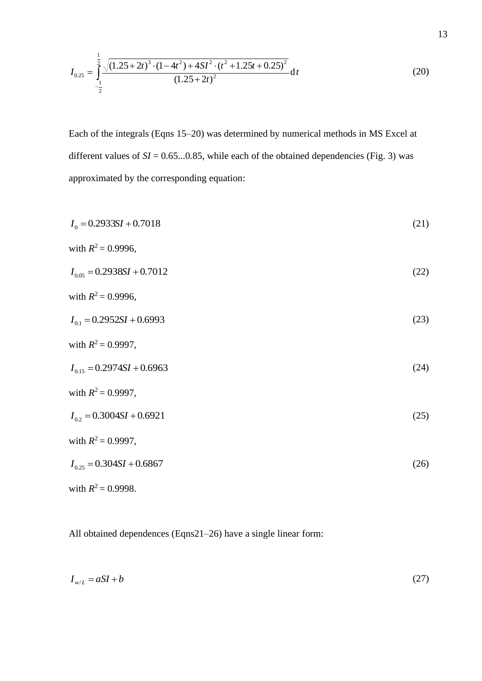$$
I_{0.25} = \int_{-\frac{1}{2}}^{\frac{1}{2}} \frac{\sqrt{(1.25 + 2t)^3 \cdot (1 - 4t^2) + 4SI^2 \cdot (t^2 + 1.25t + 0.25)^2}}{(1.25 + 2t)^2} dt
$$
 (20)

Each of the integrals (Eqns 15–20) was determined by numerical methods in MS Excel at different values of  $SI = 0.65...0.85$ , while each of the obtained dependencies (Fig. 3) was approximated by the corresponding equation:

| $I_0 = 0.2933SI + 0.7018$      | (21) |
|--------------------------------|------|
| with $R^2 = 0.9996$ ,          |      |
| $I_{0.05} = 0.2938SI + 0.7012$ | (22) |
| with $R^2 = 0.9996$ ,          |      |
| $I_{01} = 0.2952SI + 0.6993$   | (23) |
| with $R^2 = 0.9997$ ,          |      |
| $I_{0.15} = 0.2974SI + 0.6963$ | (24) |
| with $R^2 = 0.9997$ ,          |      |
| $I_{0.2} = 0.3004SI + 0.6921$  | (25) |
| with $R^2 = 0.9997$ ,          |      |
| $I_{0.25} = 0.304SI + 0.6867$  | (26) |
| with $R^2 = 0.9998$ .          |      |

All obtained dependences (Eqns21–26) have a single linear form:

$$
I_{w/L} = aSI + b \tag{27}
$$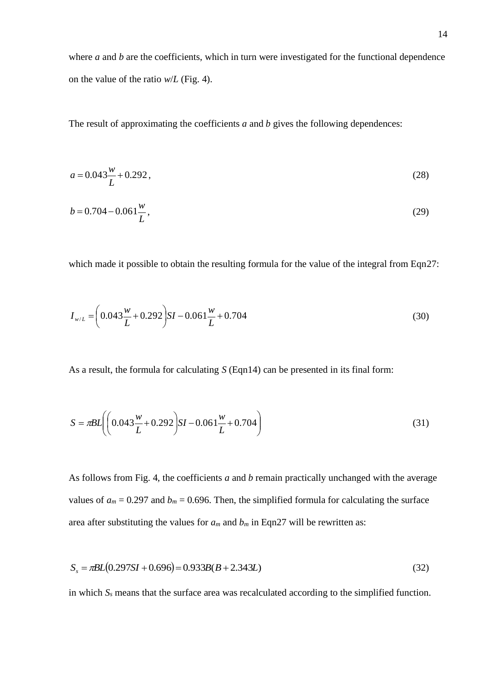where *a* and *b* are the coefficients, which in turn were investigated for the functional dependence on the value of the ratio *w*/*L* (Fig. 4).

The result of approximating the coefficients *a* and *b* gives the following dependences:

$$
a = 0.043 \frac{w}{L} + 0.292,\tag{28}
$$

$$
b = 0.704 - 0.061 \frac{w}{L},\tag{29}
$$

which made it possible to obtain the resulting formula for the value of the integral from Eqn27:

$$
I_{w/L} = \left(0.043 \frac{w}{L} + 0.292\right) SI - 0.061 \frac{w}{L} + 0.704\tag{30}
$$

As a result, the formula for calculating *S* (Eqn14) can be presented in its final form:

$$
S = \pi BL \left( \left( 0.043 \frac{w}{L} + 0.292 \right) SI - 0.061 \frac{w}{L} + 0.704 \right) \tag{31}
$$

As follows from Fig. 4, the coefficients *a* and *b* remain practically unchanged with the average values of  $a_m = 0.297$  and  $b_m = 0.696$ . Then, the simplified formula for calculating the surface area after substituting the values for  $a_m$  and  $b_m$  in Eqn27 will be rewritten as:

$$
S_s = \pi BL(0.297SI + 0.696) = 0.933B(B + 2.343L)
$$
\n(32)

in which *S<sup>s</sup>* means that the surface area was recalculated according to the simplified function.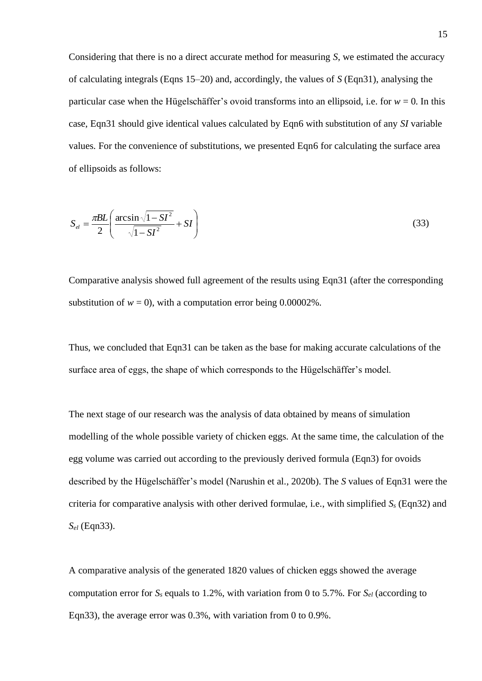Considering that there is no a direct accurate method for measuring *S*, we estimated the accuracy of calculating integrals (Eqns 15–20) and, accordingly, the values of *S* (Eqn31), analysing the particular case when the Hügelschäffer's ovoid transforms into an ellipsoid, i.e. for  $w = 0$ . In this case, Eqn31 should give identical values calculated by Eqn6 with substitution of any *SI* variable values. For the convenience of substitutions, we presented Eqn6 for calculating the surface area of ellipsoids as follows:

$$
S_{el} = \frac{\pi BL}{2} \left( \frac{\arcsin \sqrt{1 - SI^2}}{\sqrt{1 - SI^2}} + SI \right)
$$
 (33)

Comparative analysis showed full agreement of the results using Eqn31 (after the corresponding substitution of  $w = 0$ , with a computation error being  $0.00002\%$ .

Thus, we concluded that Eqn31 can be taken as the base for making accurate calculations of the surface area of eggs, the shape of which corresponds to the Hügelschäffer's model.

The next stage of our research was the analysis of data obtained by means of simulation modelling of the whole possible variety of chicken eggs. At the same time, the calculation of the egg volume was carried out according to the previously derived formula (Eqn3) for ovoids described by the Hügelschäffer's model (Narushin et al., 2020b). The *S* values of Eqn31 were the criteria for comparative analysis with other derived formulae, i.e., with simplified  $S<sub>s</sub>$  (Eqn32) and *Sel* (Eqn33).

A comparative analysis of the generated 1820 values of chicken eggs showed the average computation error for  $S_s$  equals to 1.2%, with variation from 0 to 5.7%. For  $S_{el}$  (according to Eqn33), the average error was 0.3%, with variation from 0 to 0.9%.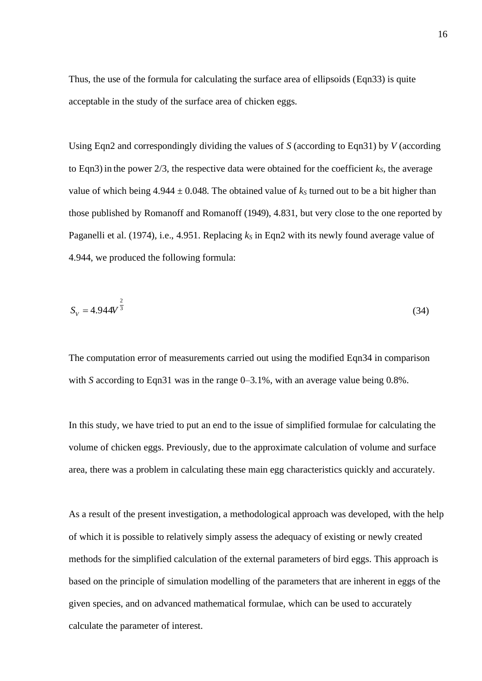Thus, the use of the formula for calculating the surface area of ellipsoids (Eqn33) is quite acceptable in the study of the surface area of chicken eggs.

Using Eqn2 and correspondingly dividing the values of *S* (according to Eqn31) by *V* (according to Eqn3) in the power  $2/3$ , the respective data were obtained for the coefficient  $k<sub>S</sub>$ , the average value of which being  $4.944 \pm 0.048$ . The obtained value of  $k<sub>S</sub>$  turned out to be a bit higher than those published by Romanoff and Romanoff (1949), 4.831, but very close to the one reported by Paganelli et al. (1974), i.e., 4.951. Replacing *k<sup>S</sup>* in Eqn2 with its newly found average value of 4.944, we produced the following formula:

$$
S_V = 4.944V^{\frac{2}{3}}
$$
 (34)

The computation error of measurements carried out using the modified Eqn34 in comparison with *S* according to Eqn31 was in the range 0–3.1%, with an average value being 0.8%.

In this study, we have tried to put an end to the issue of simplified formulae for calculating the volume of chicken eggs. Previously, due to the approximate calculation of volume and surface area, there was a problem in calculating these main egg characteristics quickly and accurately.

As a result of the present investigation, a methodological approach was developed, with the help of which it is possible to relatively simply assess the adequacy of existing or newly created methods for the simplified calculation of the external parameters of bird eggs. This approach is based on the principle of simulation modelling of the parameters that are inherent in eggs of the given species, and on advanced mathematical formulae, which can be used to accurately calculate the parameter of interest.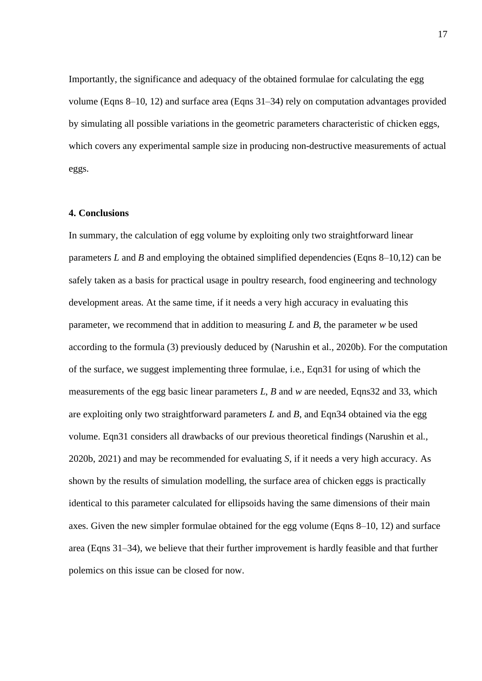Importantly, the significance and adequacy of the obtained formulae for calculating the egg volume (Eqns 8–10, 12) and surface area (Eqns 31–34) rely on computation advantages provided by simulating all possible variations in the geometric parameters characteristic of chicken eggs, which covers any experimental sample size in producing non-destructive measurements of actual eggs.

#### **4. Conclusions**

In summary, the calculation of egg volume by exploiting only two straightforward linear parameters *L* and *B* and employing the obtained simplified dependencies (Eqns 8–10,12) can be safely taken as a basis for practical usage in poultry research, food engineering and technology development areas. At the same time, if it needs a very high accuracy in evaluating this parameter, we recommend that in addition to measuring *L* and *B*, the parameter *w* be used according to the formula (3) previously deduced by (Narushin et al., 2020b). For the computation of the surface, we suggest implementing three formulae, i.e., Eqn31 for using of which the measurements of the egg basic linear parameters *L*, *B* and *w* are needed, Eqns32 and 33, which are exploiting only two straightforward parameters *L* and *B*, and Eqn34 obtained via the egg volume. Eqn31 considers all drawbacks of our previous theoretical findings (Narushin et al., 2020b, 2021) and may be recommended for evaluating *S*, if it needs a very high accuracy. As shown by the results of simulation modelling, the surface area of chicken eggs is practically identical to this parameter calculated for ellipsoids having the same dimensions of their main axes. Given the new simpler formulae obtained for the egg volume (Eqns 8–10, 12) and surface area (Eqns 31–34), we believe that their further improvement is hardly feasible and that further polemics on this issue can be closed for now.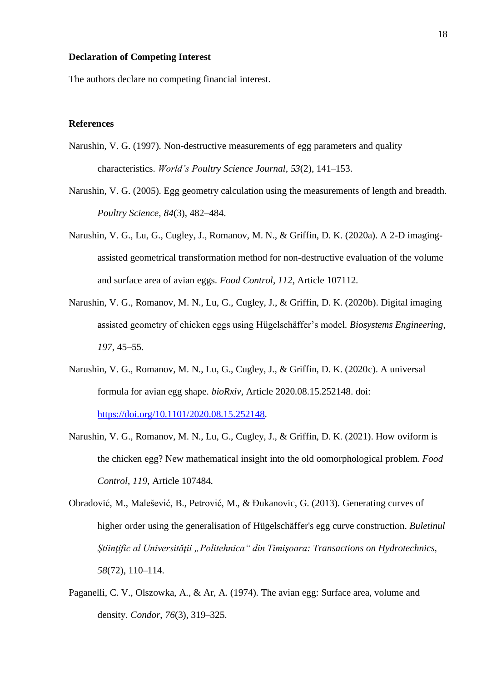#### **Declaration of Competing Interest**

The authors declare no competing financial interest.

#### **References**

- Narushin, V. G. (1997). Non-destructive measurements of egg parameters and quality characteristics. *World's Poultry Science Journal*, *53*(2), 141–153.
- Narushin, V. G. (2005). Egg geometry calculation using the measurements of length and breadth. *Poultry Science*, *84*(3), 482–484.
- Narushin, V. G., Lu, G., Cugley, J., Romanov, M. N., & Griffin, D. K. (2020a). A 2-D imagingassisted geometrical transformation method for non-destructive evaluation of the volume and surface area of avian eggs. *Food Control*, *112*, Article 107112.
- Narushin, V. G., Romanov, M. N., Lu, G., Cugley, J., & Griffin, D. K. (2020b). Digital imaging assisted geometry of chicken eggs using Hügelschäffer's model. *Biosystems Engineering*, *197*, 45–55.
- Narushin, V. G., Romanov, M. N., Lu, G., Cugley, J., & Griffin, D. K. (2020c). A universal formula for avian egg shape. *bioRxiv*, Article 2020.08.15.252148. doi: [https://doi.org/10.1101/2020.08.15.252148.](https://doi.org/10.1101/2020.08.15.252148)
- Narushin, V. G., Romanov, M. N., Lu, G., Cugley, J., & Griffin, D. K. (2021). How oviform is the chicken egg? New mathematical insight into the old oomorphological problem. *Food Control*, *119*, Article 107484.
- Obradović, M., Malešević, B., Petrović, M., & Đukanovic, G. (2013). Generating curves of higher order using the generalisation of Hügelschäffer's egg curve construction. *Buletinul Ştiinţific al Universităţii "Politehnica" din Timişoara: Transactions on Hydrotechnics, 58*(72), 110–114.
- Paganelli, C. V., Olszowka, A., & Ar, A. (1974). The avian egg: Surface area, volume and density. *Condor*, *76*(3), 319–325.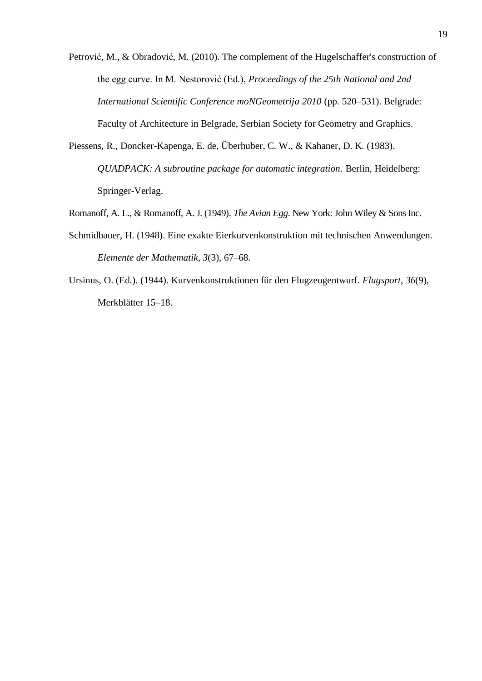- Petrović, M., & Obradović, M. (2010). The complement of the Hugelschaffer's construction of the egg curve. In M. Nestorović (Ed.), *Proceedings of the 25th National and 2nd International Scientific Conference moNGeometrija 2010* (pp. 520–531). Belgrade: Faculty of Architecture in Belgrade, Serbian Society for Geometry and Graphics.
- Piessens, R., Doncker-Kapenga, E. de, Überhuber, C. W., & Kahaner, D. K. (1983). *QUADPACK: A subroutine package for automatic integration*. Berlin, Heidelberg: Springer-Verlag.
- Romanoff, A. L., & Romanoff, A. J. (1949). *The Avian Egg*. New York: John Wiley & Sons Inc.
- Schmidbauer, H. (1948). Eine exakte Eierkurvenkonstruktion mit technischen Anwendungen. *Elemente der Mathematik*, *3*(3), 67–68.
- Ursinus, O. (Ed.). (1944). Kurvenkonstruktionen für den Flugzeugentwurf. *Flugsport*, *36*(9), Merkblätter 15–18.